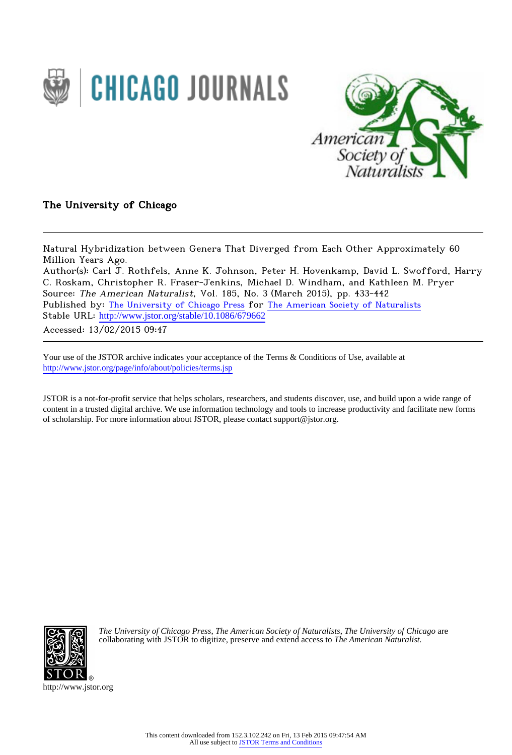



The University of Chicago

Natural Hybridization between Genera That Diverged from Each Other Approximately 60 Million Years Ago. Author(s): Carl J. Rothfels, Anne K. Johnson, Peter H. Hovenkamp, David L. Swofford, Harry

C. Roskam, Christopher R. Fraser-Jenkins, Michael D. Windham, and Kathleen M. Pryer Source: The American Naturalist, Vol. 185, No. 3 (March 2015), pp. 433-442 Published by: [The University of Chicago Press](http://www.jstor.org/action/showPublisher?publisherCode=ucpress) for [The American Society of Naturalists](http://www.jstor.org/action/showPublisher?publisherCode=amsocnat) Stable URL: http://www.jstor.org/stable/10.1086/679662 Accessed: 13/02/2015 09:47

Your use of the JSTOR archive indicates your acceptance of the Terms & Conditions of Use, available at <http://www.jstor.org/page/info/about/policies/terms.jsp>

JSTOR is a not-for-profit service that helps scholars, researchers, and students discover, use, and build upon a wide range of content in a trusted digital archive. We use information technology and tools to increase productivity and facilitate new forms of scholarship. For more information about JSTOR, please contact support@jstor.org.



*The University of Chicago Press*, *The American Society of Naturalists*, *The University of Chicago* are collaborating with JSTOR to digitize, preserve and extend access to *The American Naturalist.*

http://www.jstor.org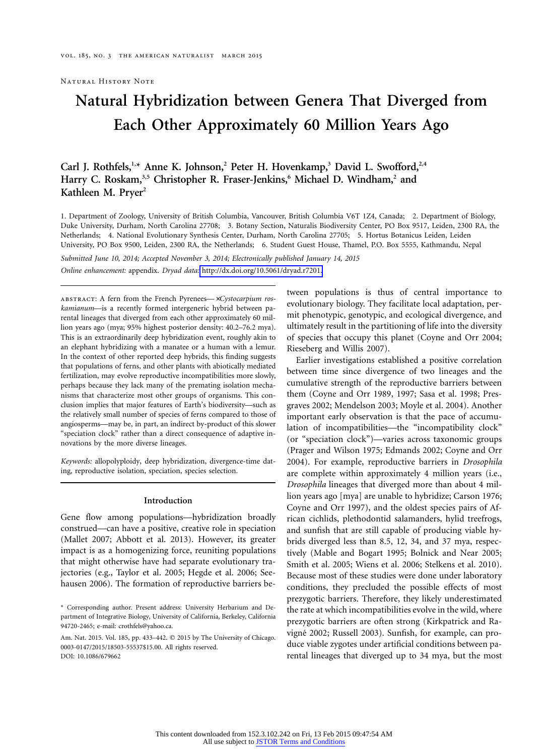Natural History Note

# **Natural Hybridization between Genera That Diverged from Each Other Approximately 60 Million Years Ago**

# Carl J. Rothfels,<sup>1,\*</sup> Anne K. Johnson,<sup>2</sup> Peter H. Hovenkamp,<sup>3</sup> David L. Swofford,<sup>2,4</sup> Harry C. Roskam,<sup>3,5</sup> Christopher R. Fraser-Jenkins,<sup>6</sup> Michael D. Windham,<sup>2</sup> and Kathleen M. Pryer<sup>2</sup>

1. Department of Zoology, University of British Columbia, Vancouver, British Columbia V6T 1Z4, Canada; 2. Department of Biology, Duke University, Durham, North Carolina 27708; 3. Botany Section, Naturalis Biodiversity Center, PO Box 9517, Leiden, 2300 RA, the Netherlands; 4. National Evolutionary Synthesis Center, Durham, North Carolina 27705; 5. Hortus Botanicus Leiden, Leiden University, PO Box 9500, Leiden, 2300 RA, the Netherlands; 6. Student Guest House, Thamel, P.O. Box 5555, Kathmandu, Nepal

*Submitted June 10, 2014; Accepted November 3, 2014; Electronically published January 14, 2015*

*Online enhancement:* appendix. *Dryad data:* [http://dx.doi.org/10.5061/dryad.r7201.](http://dx.doi.org/10.5061/dryad.r7201)

ABSTRACT: A fern from the French Pyrenees- xCystocarpium ros*kamianum*—is a recently formed intergeneric hybrid between parental lineages that diverged from each other approximately 60 million years ago (mya; 95% highest posterior density: 40.2–76.2 mya). This is an extraordinarily deep hybridization event, roughly akin to an elephant hybridizing with a manatee or a human with a lemur. In the context of other reported deep hybrids, this finding suggests that populations of ferns, and other plants with abiotically mediated fertilization, may evolve reproductive incompatibilities more slowly, perhaps because they lack many of the premating isolation mechanisms that characterize most other groups of organisms. This conclusion implies that major features of Earth's biodiversity—such as the relatively small number of species of ferns compared to those of angiosperms—may be, in part, an indirect by-product of this slower "speciation clock" rather than a direct consequence of adaptive innovations by the more diverse lineages.

*Keywords:* allopolyploidy, deep hybridization, divergence-time dating, reproductive isolation, speciation, species selection.

#### **Introduction**

Gene flow among populations—hybridization broadly construed—can have a positive, creative role in speciation (Mallet 2007; Abbott et al. 2013). However, its greater impact is as a homogenizing force, reuniting populations that might otherwise have had separate evolutionary trajectories (e.g., Taylor et al. 2005; Hegde et al. 2006; Seehausen 2006). The formation of reproductive barriers between populations is thus of central importance to evolutionary biology. They facilitate local adaptation, permit phenotypic, genotypic, and ecological divergence, and ultimately result in the partitioning of life into the diversity of species that occupy this planet (Coyne and Orr 2004; Rieseberg and Willis 2007).

Earlier investigations established a positive correlation between time since divergence of two lineages and the cumulative strength of the reproductive barriers between them (Coyne and Orr 1989, 1997; Sasa et al. 1998; Presgraves 2002; Mendelson 2003; Moyle et al. 2004). Another important early observation is that the pace of accumulation of incompatibilities—the "incompatibility clock" (or "speciation clock")—varies across taxonomic groups (Prager and Wilson 1975; Edmands 2002; Coyne and Orr 2004). For example, reproductive barriers in *Drosophila* are complete within approximately 4 million years (i.e., *Drosophila* lineages that diverged more than about 4 million years ago [mya] are unable to hybridize; Carson 1976; Coyne and Orr 1997), and the oldest species pairs of African cichlids, plethodontid salamanders, hylid treefrogs, and sunfish that are still capable of producing viable hybrids diverged less than 8.5, 12, 34, and 37 mya, respectively (Mable and Bogart 1995; Bolnick and Near 2005; Smith et al. 2005; Wiens et al. 2006; Stelkens et al. 2010). Because most of these studies were done under laboratory conditions, they precluded the possible effects of most prezygotic barriers. Therefore, they likely underestimated the rate at which incompatibilities evolve in the wild, where prezygotic barriers are often strong (Kirkpatrick and Ravigné 2002; Russell 2003). Sunfish, for example, can produce viable zygotes under artificial conditions between parental lineages that diverged up to 34 mya, but the most

<sup>\*</sup> Corresponding author. Present address: University Herbarium and Department of Integrative Biology, University of California, Berkeley, California 94720-2465; e-mail: [crothfels@yahoo.ca.](mailto:crothfels@yahoo.ca)

Am. Nat. 2015. Vol. 185, pp. 433-442. © 2015 by The University of Chicago. 0003-0147/2015/18503-55537\$15.00. All rights reserved. DOI: 10.1086/679662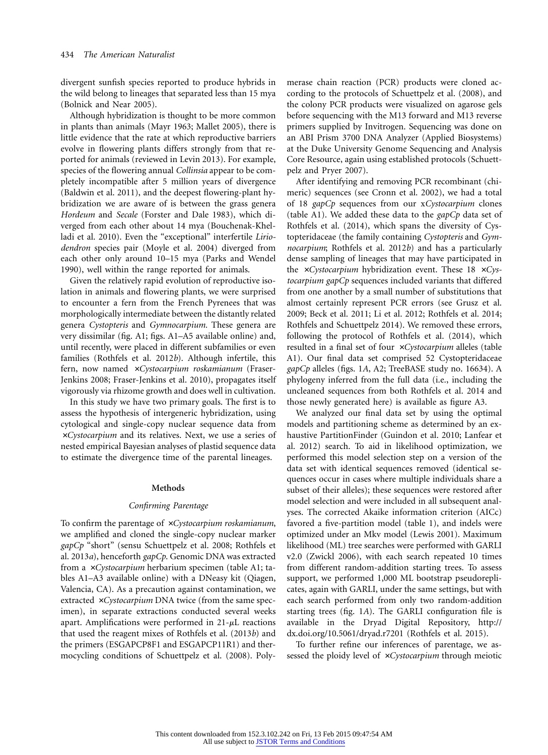divergent sunfish species reported to produce hybrids in the wild belong to lineages that separated less than 15 mya (Bolnick and Near 2005).

Although hybridization is thought to be more common in plants than animals (Mayr 1963; Mallet 2005), there is little evidence that the rate at which reproductive barriers evolve in flowering plants differs strongly from that reported for animals (reviewed in Levin 2013). For example, species of the flowering annual *Collinsia* appear to be completely incompatible after 5 million years of divergence (Baldwin et al. 2011), and the deepest flowering-plant hybridization we are aware of is between the grass genera *Hordeum* and *Secale* (Forster and Dale 1983), which diverged from each other about 14 mya (Bouchenak-Khelladi et al. 2010). Even the "exceptional" interfertile *Liriodendron* species pair (Moyle et al. 2004) diverged from each other only around 10–15 mya (Parks and Wendel 1990), well within the range reported for animals.

Given the relatively rapid evolution of reproductive isolation in animals and flowering plants, we were surprised to encounter a fern from the French Pyrenees that was morphologically intermediate between the distantly related genera *Cystopteris* and *Gymnocarpium.* These genera are very dissimilar (fig. A1; figs. A1–A5 available online) and, until recently, were placed in different subfamilies or even families (Rothfels et al. 2012*b*). Although infertile, this fern, now named xCystocarpium roskamianum (Fraser-Jenkins 2008; Fraser-Jenkins et al. 2010), propagates itself vigorously via rhizome growth and does well in cultivation.

In this study we have two primary goals. The first is to assess the hypothesis of intergeneric hybridization, using cytological and single-copy nuclear sequence data from #*Cystocarpium* and its relatives. Next, we use a series of nested empirical Bayesian analyses of plastid sequence data to estimate the divergence time of the parental lineages.

#### **Methods**

# *Confirming Parentage*

To confirm the parentage of  $\times C$ *ystocarpium roskamianum*, we amplified and cloned the single-copy nuclear marker *gapCp* "short" (sensu Schuettpelz et al. 2008; Rothfels et al. 2013*a*), henceforth *gapCp*. Genomic DNA was extracted from a *xCystocarpium* herbarium specimen (table A1; tables A1–A3 available online) with a DNeasy kit (Qiagen, Valencia, CA). As a precaution against contamination, we extracted  $\times Cystocarpium DNA twice (from the same spec$ imen), in separate extractions conducted several weeks apart. Amplifications were performed in  $21-\mu L$  reactions that used the reagent mixes of Rothfels et al. (2013*b*) and the primers (ESGAPCP8F1 and ESGAPCP11R1) and thermocycling conditions of Schuettpelz et al. (2008). Polymerase chain reaction (PCR) products were cloned according to the protocols of Schuettpelz et al. (2008), and the colony PCR products were visualized on agarose gels before sequencing with the M13 forward and M13 reverse primers supplied by Invitrogen. Sequencing was done on an ABI Prism 3700 DNA Analyzer (Applied Biosystems) at the Duke University Genome Sequencing and Analysis Core Resource, again using established protocols (Schuettpelz and Pryer 2007).

After identifying and removing PCR recombinant (chimeric) sequences (see Cronn et al. 2002), we had a total of 18 *gapCp* sequences from our x*Cystocarpium* clones (table A1). We added these data to the *gapCp* data set of Rothfels et al. (2014), which spans the diversity of Cystopteridaceae (the family containing *Cystopteris* and *Gymnocarpium*; Rothfels et al. 2012*b*) and has a particularly dense sampling of lineages that may have participated in the *xCystocarpium* hybridization event. These 18 *xCystocarpium gapCp* sequences included variants that differed from one another by a small number of substitutions that almost certainly represent PCR errors (see Grusz et al. 2009; Beck et al. 2011; Li et al. 2012; Rothfels et al. 2014; Rothfels and Schuettpelz 2014). We removed these errors, following the protocol of Rothfels et al. (2014), which resulted in a final set of four #*Cystocarpium* alleles (table A1). Our final data set comprised 52 Cystopteridaceae *gapCp* alleles (figs. 1*A*, A2; TreeBASE study no. 16634). A phylogeny inferred from the full data (i.e., including the uncleaned sequences from both Rothfels et al. 2014 and those newly generated here) is available as figure A3.

We analyzed our final data set by using the optimal models and partitioning scheme as determined by an exhaustive PartitionFinder (Guindon et al. 2010; Lanfear et al. 2012) search. To aid in likelihood optimization, we performed this model selection step on a version of the data set with identical sequences removed (identical sequences occur in cases where multiple individuals share a subset of their alleles); these sequences were restored after model selection and were included in all subsequent analyses. The corrected Akaike information criterion (AICc) favored a five-partition model (table 1), and indels were optimized under an Mkv model (Lewis 2001). Maximum likelihood (ML) tree searches were performed with GARLI v2.0 (Zwickl 2006), with each search repeated 10 times from different random-addition starting trees. To assess support, we performed 1,000 ML bootstrap pseudoreplicates, again with GARLI, under the same settings, but with each search performed from only two random-addition starting trees (fig. 1*A*). The GARLI configuration file is available in the Dryad Digital Repository, [http://](http://dx.doi.org/10.5061/dryad.r7201) [dx.doi.org/10.5061/dryad.r7201](http://dx.doi.org/10.5061/dryad.r7201) (Rothfels et al. 2015).

To further refine our inferences of parentage, we assessed the ploidy level of *xCystocarpium* through meiotic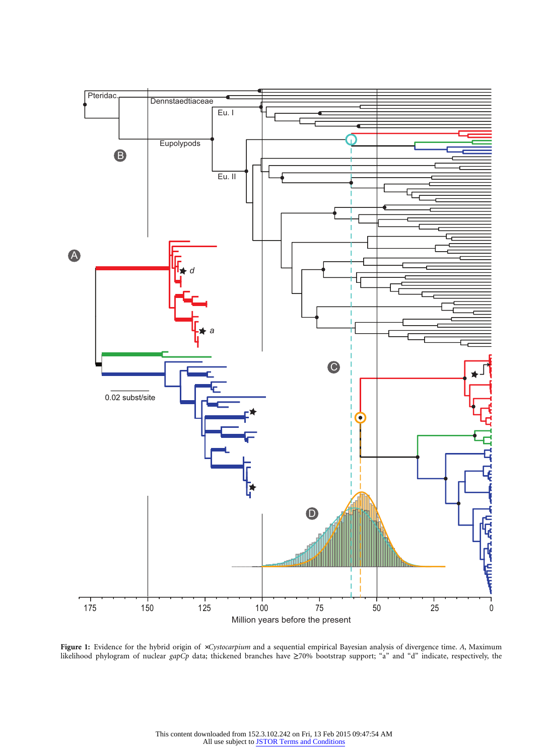

Figure 1: Evidence for the hybrid origin of *xCystocarpium* and a sequential empirical Bayesian analysis of divergence time. A, Maximum likelihood phylogram of nuclear *gapCp* data; thickened branches have ≥70% bootstrap support; "a" and "d" indicate, respectively, the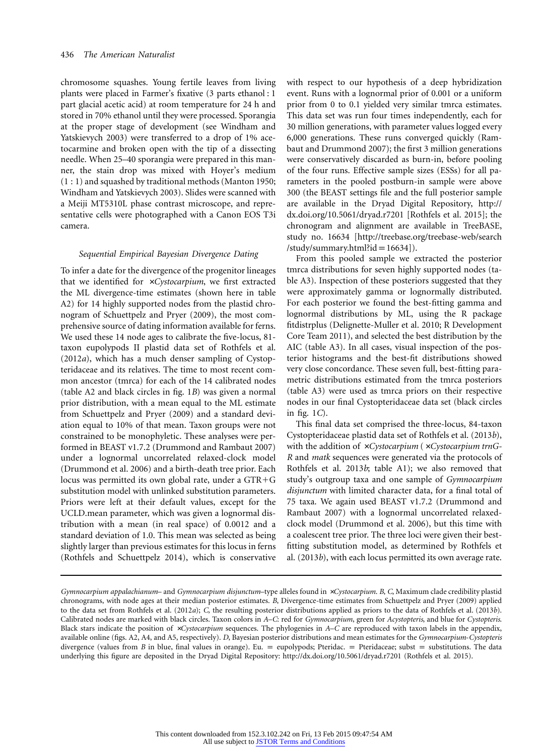chromosome squashes. Young fertile leaves from living plants were placed in Farmer's fixative (3 parts ethanol : 1 part glacial acetic acid) at room temperature for 24 h and stored in 70% ethanol until they were processed. Sporangia at the proper stage of development (see Windham and Yatskievych 2003) were transferred to a drop of 1% acetocarmine and broken open with the tip of a dissecting needle. When 25–40 sporangia were prepared in this manner, the stain drop was mixed with Hoyer's medium (1 : 1) and squashed by traditional methods (Manton 1950; Windham and Yatskievych 2003). Slides were scanned with a Meiji MT5310L phase contrast microscope, and representative cells were photographed with a Canon EOS T3i camera.

# *Sequential Empirical Bayesian Divergence Dating*

To infer a date for the divergence of the progenitor lineages that we identified for #*Cystocarpium*, we first extracted the ML divergence-time estimates (shown here in table A2) for 14 highly supported nodes from the plastid chronogram of Schuettpelz and Pryer (2009), the most comprehensive source of dating information available for ferns. We used these 14 node ages to calibrate the five-locus, 81 taxon eupolypods II plastid data set of Rothfels et al. (2012*a*), which has a much denser sampling of Cystopteridaceae and its relatives. The time to most recent common ancestor (tmrca) for each of the 14 calibrated nodes (table A2 and black circles in fig. 1*B*) was given a normal prior distribution, with a mean equal to the ML estimate from Schuettpelz and Pryer (2009) and a standard deviation equal to 10% of that mean. Taxon groups were not constrained to be monophyletic. These analyses were performed in BEAST v1.7.2 (Drummond and Rambaut 2007) under a lognormal uncorrelated relaxed-clock model (Drummond et al. 2006) and a birth-death tree prior. Each locus was permitted its own global rate, under a GTR-G substitution model with unlinked substitution parameters. Priors were left at their default values, except for the UCLD.mean parameter, which was given a lognormal distribution with a mean (in real space) of 0.0012 and a standard deviation of 1.0. This mean was selected as being slightly larger than previous estimates for this locus in ferns (Rothfels and Schuettpelz 2014), which is conservative

with respect to our hypothesis of a deep hybridization event. Runs with a lognormal prior of 0.001 or a uniform prior from 0 to 0.1 yielded very similar tmrca estimates. This data set was run four times independently, each for 30 million generations, with parameter values logged every 6,000 generations. These runs converged quickly (Rambaut and Drummond 2007); the first 3 million generations were conservatively discarded as burn-in, before pooling of the four runs. Effective sample sizes (ESSs) for all parameters in the pooled postburn-in sample were above 300 (the BEAST settings file and the full posterior sample are available in the Dryad Digital Repository, [http://](http://dx.doi.org/10.5061/dryad.r7201) [dx.doi.org/10.5061/dryad.r7201](http://dx.doi.org/10.5061/dryad.r7201) [Rothfels et al. 2015]; the chronogram and alignment are available in TreeBASE, study no. 16634 [\[http://treebase.org/treebase-web/search](http://treebase.org/treebase-web/search/study/summary.html?id=16634) [/study/summary.html?id](http://treebase.org/treebase-web/search/study/summary.html?id=16634) =  $16634$ ]).

From this pooled sample we extracted the posterior tmrca distributions for seven highly supported nodes (table A3). Inspection of these posteriors suggested that they were approximately gamma or lognormally distributed. For each posterior we found the best-fitting gamma and lognormal distributions by ML, using the R package fitdistrplus (Delignette-Muller et al. 2010; R Development Core Team 2011), and selected the best distribution by the AIC (table A3). In all cases, visual inspection of the posterior histograms and the best-fit distributions showed very close concordance. These seven full, best-fitting parametric distributions estimated from the tmrca posteriors (table A3) were used as tmrca priors on their respective nodes in our final Cystopteridaceae data set (black circles in fig. 1*C*).

This final data set comprised the three-locus, 84-taxon Cystopteridaceae plastid data set of Rothfels et al. (2013*b*), with the addition of *xCystocarpium* (*xCystocarpium trnG-R* and *matk* sequences were generated via the protocols of Rothfels et al. 2013*b*; table A1); we also removed that study's outgroup taxa and one sample of *Gymnocarpium disjunctum* with limited character data, for a final total of 75 taxa. We again used BEAST v1.7.2 (Drummond and Rambaut 2007) with a lognormal uncorrelated relaxedclock model (Drummond et al. 2006), but this time with a coalescent tree prior. The three loci were given their bestfitting substitution model, as determined by Rothfels et al. (2013*b*), with each locus permitted its own average rate.

*Gymnocarpium appalachianum*– and *Gymnocarpium disjunctum*–type alleles found in *×Cystocarpium*. *B*, *C*, Maximum clade credibility plastid chronograms, with node ages at their median posterior estimates. *B*, Divergence-time estimates from Schuettpelz and Pryer (2009) applied to the data set from Rothfels et al. (2012*a*); *C*, the resulting posterior distributions applied as priors to the data of Rothfels et al. (2013*b*). Calibrated nodes are marked with black circles. Taxon colors in *A*–*C*: red for *Gymnocarpium*, green for *Acystopteris*, and blue for *Cystopteris*. Black stars indicate the position of *\*Cystocarpium* sequences. The phylogenies in *A*–*C* are reproduced with taxon labels in the appendix, available online (figs. A2, A4, and A5, respectively). *D*, Bayesian posterior distributions and mean estimates for the *Gymnocarpium*-*Cystopteris* divergence (values from *B* in blue, final values in orange). Eu. = eupolypods; Pteridac. = Pteridaceae; subst = substitutions. The data underlying this figure are deposited in the Dryad Digital Repository:<http://dx.doi.org/10.5061/dryad.r7201> (Rothfels et al. 2015).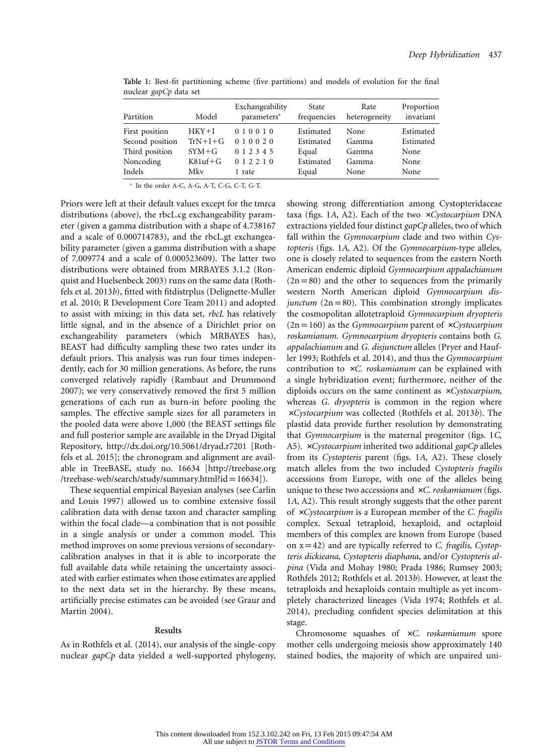| Partition                                                                  | Model                                               | Exchangeability<br>parameters <sup>a</sup>               | State<br>frequencies                                  | Rate<br>heterogeneity                   | Proportion<br>invariant                        |
|----------------------------------------------------------------------------|-----------------------------------------------------|----------------------------------------------------------|-------------------------------------------------------|-----------------------------------------|------------------------------------------------|
| First position<br>Second position<br>Third position<br>Noncoding<br>Indels | $HKY+I$<br>$TrN+I+G$<br>$SYM+G$<br>$K81uf+G$<br>Mkv | 010010<br>010020<br>0 1 2 3 4 5<br>0 1 2 2 1 0<br>1 rate | Estimated<br>Estimated<br>Equal<br>Estimated<br>Equal | None<br>Gamma<br>Gamma<br>Gamma<br>None | Estimated<br>Estimated<br>None<br>None<br>None |

**Table 1:** Best-fit partitioning scheme (five partitions) and models of evolution for the final nuclear *gapCp* data set

<sup>a</sup> In the order A-C, A-G, A-T, C-G, C-T, G-T.

Priors were left at their default values except for the tmrca distributions (above), the rbcL.cg exchangeability parameter (given a gamma distribution with a shape of 4.738167 and a scale of 0.000714783), and the rbcL.gt exchangeability parameter (given a gamma distribution with a shape of 7.009774 and a scale of 0.000523609). The latter two distributions were obtained from MRBAYES 3.1.2 (Ronquist and Huelsenbeck 2003) runs on the same data (Rothfels et al. 2013*b*), fitted with fitdistrplus (Delignette-Muller et al. 2010; R Development Core Team 2011) and adopted to assist with mixing; in this data set, *rbcL* has relatively little signal, and in the absence of a Dirichlet prior on exchangeability parameters (which MRBAYES has), BEAST had difficulty sampling these two rates under its default priors. This analysis was run four times independently, each for 30 million generations. As before, the runs converged relatively rapidly (Rambaut and Drummond 2007); we very conservatively removed the first 5 million generations of each run as burn-in before pooling the samples. The effective sample sizes for all parameters in the pooled data were above 1,000 (the BEAST settings file and full posterior sample are available in the Dryad Digital Repository,<http://dx.doi.org/10.5061/dryad.r7201> [Rothfels et al. 2015]; the chronogram and alignment are available in TreeBASE, study no. 16634 [\[http://treebase.org](http://treebase.org/treebase-web/search/study/summary.html?id=16634) [/treebase-web/search/study/summary.html?id](http://treebase.org/treebase-web/search/study/summary.html?id=16634) =  $16634$ ]).

These sequential empirical Bayesian analyses (see Carlin and Louis 1997) allowed us to combine extensive fossil calibration data with dense taxon and character sampling within the focal clade—a combination that is not possible in a single analysis or under a common model. This method improves on some previous versions of secondarycalibration analyses in that it is able to incorporate the full available data while retaining the uncertainty associated with earlier estimates when those estimates are applied to the next data set in the hierarchy. By these means, artificially precise estimates can be avoided (see Graur and Martin 2004).

#### **Results**

As in Rothfels et al. (2014), our analysis of the single-copy nuclear *gapCp* data yielded a well-supported phylogeny, showing strong differentiation among Cystopteridaceae taxa (figs. 1A, A2). Each of the two *xCystocarpium* DNA extractions yielded four distinct *gapCp* alleles, two of which fall within the *Gymnocarpium* clade and two within *Cystopteris* (figs. 1*A*, A2). Of the *Gymnocarpium*-type alleles, one is closely related to sequences from the eastern North American endemic diploid *Gymnocarpium appalachianum*  $(2n=80)$  and the other to sequences from the primarily western North American diploid *Gymnocarpium disjunctum* ( $2n = 80$ ). This combination strongly implicates the cosmopolitan allotetraploid *Gymnocarpium dryopteris*  $(2n=160)$  as the *Gymnocarpium* parent of  $\times C$ *ystocarpium roskamianum*. *Gymnocarpium dryopteris* contains both *G. appalachianum* and *G. disjunctum* alleles (Pryer and Haufler 1993; Rothfels et al. 2014), and thus the *Gymnocarpium* contribution to xC. roskamianum can be explained with a single hybridization event; furthermore, neither of the diploids occurs on the same continent as *xCystocarpium*, whereas *G. dryopteris* is common in the region where #*Cystocarpium* was collected (Rothfels et al. 2013*b*). The plastid data provide further resolution by demonstrating that *Gymnocarpium* is the maternal progenitor (figs. 1*C*, A5). #*Cystocarpium* inherited two additional *gapCp* alleles from its *Cystopteris* parent (figs. 1*A*, A2). These closely match alleles from the two included *Cystopteris fragilis* accessions from Europe, with one of the alleles being unique to these two accessions and #*C. roskamianum* (figs. 1*A*, A2). This result strongly suggests that the other parent of #*Cystocarpium* is a European member of the *C. fragilis* complex. Sexual tetraploid, hexaploid, and octaploid members of this complex are known from Europe (based on xp42) and are typically referred to *C. fragilis*, *Cystopteris dickieana*, *Cystopteris diaphana*, and/or *Cystopteris alpina* (Vida and Mohay 1980; Prada 1986; Rumsey 2003; Rothfels 2012; Rothfels et al. 2013*b*). However, at least the tetraploids and hexaploids contain multiple as yet incompletely characterized lineages (Vida 1974; Rothfels et al. 2014), precluding confident species delimitation at this stage.

Chromosome squashes of #*C. roskamianum* spore mother cells undergoing meiosis show approximately 140 stained bodies, the majority of which are unpaired uni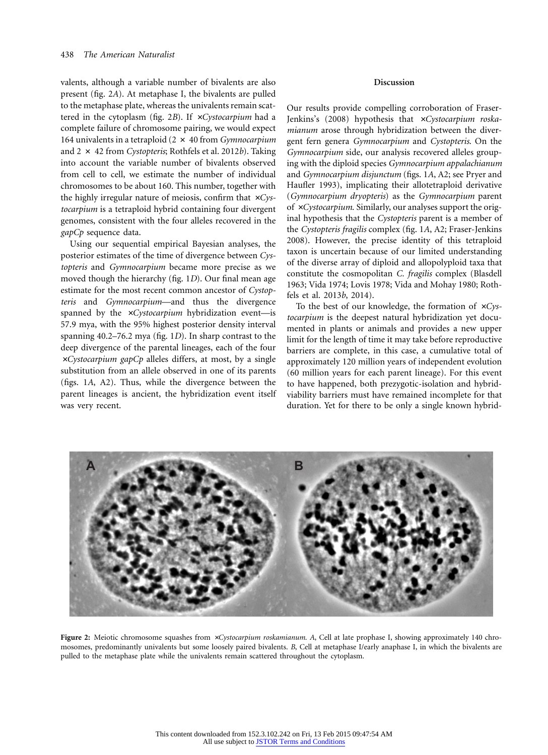valents, although a variable number of bivalents are also present (fig. 2*A*). At metaphase I, the bivalents are pulled to the metaphase plate, whereas the univalents remain scattered in the cytoplasm (fig. 2*B*). If  $\times C$ *ystocarpium* had a complete failure of chromosome pairing, we would expect 164 univalents in a tetraploid (2 # 40 from *Gymnocarpium* and 2 # 42 from *Cystopteris*; Rothfels et al. 2012*b*). Taking into account the variable number of bivalents observed from cell to cell, we estimate the number of individual chromosomes to be about 160. This number, together with the highly irregular nature of meiosis, confirm that  $\times Cys$ *tocarpium* is a tetraploid hybrid containing four divergent genomes, consistent with the four alleles recovered in the *gapCp* sequence data.

Using our sequential empirical Bayesian analyses, the posterior estimates of the time of divergence between *Cystopteris* and *Gymnocarpium* became more precise as we moved though the hierarchy (fig. 1*D*). Our final mean age estimate for the most recent common ancestor of *Cystopteris* and *Gymnocarpium*—and thus the divergence spanned by the *xCystocarpium* hybridization event-is 57.9 mya, with the 95% highest posterior density interval spanning 40.2–76.2 mya (fig. 1*D*). In sharp contrast to the deep divergence of the parental lineages, each of the four #*Cystocarpium gapCp* alleles differs, at most, by a single substitution from an allele observed in one of its parents (figs. 1*A*, A2). Thus, while the divergence between the parent lineages is ancient, the hybridization event itself was very recent.

# **Discussion**

Our results provide compelling corroboration of Fraser-Jenkins's (2008) hypothesis that xCystocarpium roska*mianum* arose through hybridization between the divergent fern genera *Gymnocarpium* and *Cystopteris*. On the *Gymnocarpium* side, our analysis recovered alleles grouping with the diploid species *Gymnocarpium appalachianum* and *Gymnocarpium disjunctum* (figs. 1*A*, A2; see Pryer and Haufler 1993), implicating their allotetraploid derivative (*Gymnocarpium dryopteris*) as the *Gymnocarpium* parent of *xCystocarpium*. Similarly, our analyses support the original hypothesis that the *Cystopteris* parent is a member of the *Cystopteris fragilis* complex (fig. 1*A*, A2; Fraser-Jenkins 2008). However, the precise identity of this tetraploid taxon is uncertain because of our limited understanding of the diverse array of diploid and allopolyploid taxa that constitute the cosmopolitan *C. fragilis* complex (Blasdell 1963; Vida 1974; Lovis 1978; Vida and Mohay 1980; Rothfels et al. 2013*b*, 2014).

To the best of our knowledge, the formation of  $\times Cys$ *tocarpium* is the deepest natural hybridization yet documented in plants or animals and provides a new upper limit for the length of time it may take before reproductive barriers are complete, in this case, a cumulative total of approximately 120 million years of independent evolution (60 million years for each parent lineage). For this event to have happened, both prezygotic-isolation and hybridviability barriers must have remained incomplete for that duration. Yet for there to be only a single known hybrid-



**Figure 2:** Meiotic chromosome squashes from #*Cystocarpium roskamianum*. *A*, Cell at late prophase I, showing approximately 140 chromosomes, predominantly univalents but some loosely paired bivalents. *B*, Cell at metaphase I/early anaphase I, in which the bivalents are pulled to the metaphase plate while the univalents remain scattered throughout the cytoplasm.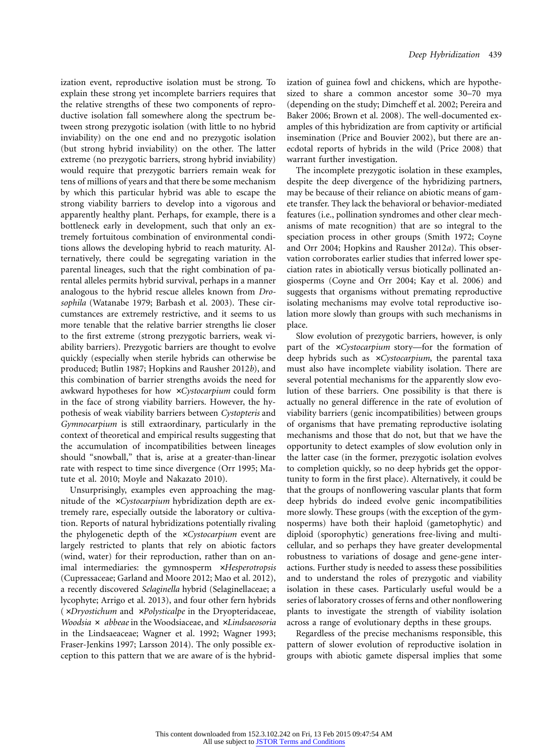ization event, reproductive isolation must be strong. To explain these strong yet incomplete barriers requires that the relative strengths of these two components of reproductive isolation fall somewhere along the spectrum between strong prezygotic isolation (with little to no hybrid inviability) on the one end and no prezygotic isolation (but strong hybrid inviability) on the other. The latter extreme (no prezygotic barriers, strong hybrid inviability) would require that prezygotic barriers remain weak for tens of millions of years and that there be some mechanism by which this particular hybrid was able to escape the strong viability barriers to develop into a vigorous and apparently healthy plant. Perhaps, for example, there is a bottleneck early in development, such that only an extremely fortuitous combination of environmental conditions allows the developing hybrid to reach maturity. Alternatively, there could be segregating variation in the parental lineages, such that the right combination of parental alleles permits hybrid survival, perhaps in a manner analogous to the hybrid rescue alleles known from *Drosophila* (Watanabe 1979; Barbash et al. 2003). These circumstances are extremely restrictive, and it seems to us more tenable that the relative barrier strengths lie closer to the first extreme (strong prezygotic barriers, weak viability barriers). Prezygotic barriers are thought to evolve quickly (especially when sterile hybrids can otherwise be produced; Butlin 1987; Hopkins and Rausher 2012*b*), and this combination of barrier strengths avoids the need for awkward hypotheses for how #*Cystocarpium* could form in the face of strong viability barriers. However, the hypothesis of weak viability barriers between *Cystopteris* and *Gymnocarpium* is still extraordinary, particularly in the context of theoretical and empirical results suggesting that the accumulation of incompatibilities between lineages should "snowball," that is, arise at a greater-than-linear rate with respect to time since divergence (Orr 1995; Matute et al. 2010; Moyle and Nakazato 2010).

Unsurprisingly, examples even approaching the magnitude of the #*Cystocarpium* hybridization depth are extremely rare, especially outside the laboratory or cultivation. Reports of natural hybridizations potentially rivaling the phylogenetic depth of the *xCystocarpium* event are largely restricted to plants that rely on abiotic factors (wind, water) for their reproduction, rather than on animal intermediaries: the gymnosperm **×***Hesperotropsis* (Cupressaceae; Garland and Moore 2012; Mao et al. 2012), a recently discovered *Selaginella* hybrid (Selaginellaceae; a lycophyte; Arrigo et al. 2013), and four other fern hybrids (#*Dryostichum* and #*Polysticalpe* in the Dryopteridaceae, *Woodsia*  $\times$  *abbeae* in the Woodsiaceae, and  $\times$ *Lindsaeosoria* in the Lindsaeaceae; Wagner et al. 1992; Wagner 1993; Fraser-Jenkins 1997; Larsson 2014). The only possible exception to this pattern that we are aware of is the hybridization of guinea fowl and chickens, which are hypothesized to share a common ancestor some 30–70 mya (depending on the study; Dimcheff et al. 2002; Pereira and Baker 2006; Brown et al. 2008). The well-documented examples of this hybridization are from captivity or artificial insemination (Price and Bouvier 2002), but there are anecdotal reports of hybrids in the wild (Price 2008) that warrant further investigation.

The incomplete prezygotic isolation in these examples, despite the deep divergence of the hybridizing partners, may be because of their reliance on abiotic means of gamete transfer. They lack the behavioral or behavior-mediated features (i.e., pollination syndromes and other clear mechanisms of mate recognition) that are so integral to the speciation process in other groups (Smith 1972; Coyne and Orr 2004; Hopkins and Rausher 2012*a*). This observation corroborates earlier studies that inferred lower speciation rates in abiotically versus biotically pollinated angiosperms (Coyne and Orr 2004; Kay et al. 2006) and suggests that organisms without premating reproductive isolating mechanisms may evolve total reproductive isolation more slowly than groups with such mechanisms in place.

Slow evolution of prezygotic barriers, however, is only part of the *\*Cystocarpium* story—for the formation of deep hybrids such as *xCystocarpium*, the parental taxa must also have incomplete viability isolation. There are several potential mechanisms for the apparently slow evolution of these barriers. One possibility is that there is actually no general difference in the rate of evolution of viability barriers (genic incompatibilities) between groups of organisms that have premating reproductive isolating mechanisms and those that do not, but that we have the opportunity to detect examples of slow evolution only in the latter case (in the former, prezygotic isolation evolves to completion quickly, so no deep hybrids get the opportunity to form in the first place). Alternatively, it could be that the groups of nonflowering vascular plants that form deep hybrids do indeed evolve genic incompatibilities more slowly. These groups (with the exception of the gymnosperms) have both their haploid (gametophytic) and diploid (sporophytic) generations free-living and multicellular, and so perhaps they have greater developmental robustness to variations of dosage and gene-gene interactions. Further study is needed to assess these possibilities and to understand the roles of prezygotic and viability isolation in these cases. Particularly useful would be a series of laboratory crosses of ferns and other nonflowering plants to investigate the strength of viability isolation across a range of evolutionary depths in these groups.

Regardless of the precise mechanisms responsible, this pattern of slower evolution of reproductive isolation in groups with abiotic gamete dispersal implies that some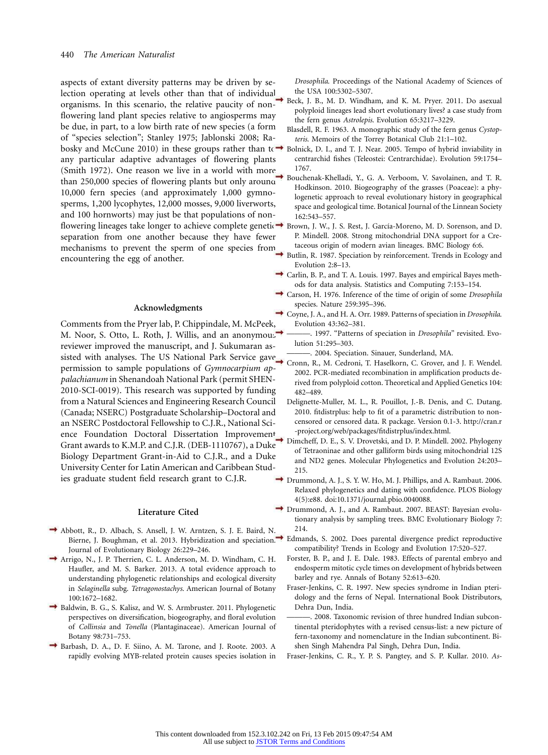aspects of extant diversity patterns may be driven by selection operating at levels other than that of individual organisms. In this scenario, the relative paucity of nonflowering land plant species relative to angiosperms may be due, in part, to a low birth rate of new species (a form of "species selection"; Stanley 1975; Jablonski 2008; Rabosky and McCune 2010) in these groups rather than to  $\rightarrow$ any particular adaptive advantages of flowering plants (Smith 1972). One reason we live in a world with more than 250,000 species of flowering plants but only around 10,000 fern species (and approximately 1,000 gymnosperms, 1,200 lycophytes, 12,000 mosses, 9,000 liverworts, and 100 hornworts) may just be that populations of nonflowering lineages take longer to achieve complete geneti@→ Brown, J. W., J. S. Rest, J. García-Moreno, M. D. Sorenson, and D. separation from one another because they have fewer mechanisms to prevent the sperm of one species from encountering the egg of another.

# **Acknowledgments**

Comments from the Pryer lab, P. Chippindale, M. McPeek, M. Noor, S. Otto, L. Roth, J. Willis, and an anonymous reviewer improved the manuscript, and J. Sukumaran assisted with analyses. The US National Park Service gave 2004. Speciation. Sinauer, Sunderland, MA. permission to sample populations of *Gymnocarpium appalachianum* in Shenandoah National Park (permit SHEN-2010-SCI-0019). This research was supported by funding from a Natural Sciences and Engineering Research Council (Canada; NSERC) Postgraduate Scholarship–Doctoral and an NSERC Postdoctoral Fellowship to C.J.R., National Science Foundation Doctoral Dissertation Improvement Grant awards to K.M.P. and C.J.R. (DEB-1110767), a Duke Biology Department Grant-in-Aid to C.J.R., and a Duke University Center for Latin American and Caribbean Studies graduate student field research grant to C.J.R.

#### **Literature Cited**

- Abbott, R., D. Albach, S. Ansell, J. W. Arntzen, S. J. E. Baird, N. Journal of Evolutionary Biology 26:229–246.
- Arrigo, N., J. P. Therrien, C. L. Anderson, M. D. Windham, C. H. Haufler, and M. S. Barker. 2013. A total evidence approach to understanding phylogenetic relationships and ecological diversity in *Selaginella* subg. *Tetragonostachys*. American Journal of Botany 100:1672–1682.
- Baldwin, B. G., S. Kalisz, and W. S. Armbruster. 2011. Phylogenetic perspectives on diversification, biogeography, and floral evolution of *Collinsia* and *Tonella* (Plantaginaceae). American Journal of Botany 98:731–753.
- Barbash, D. A., D. F. Siino, A. M. Tarone, and J. Roote. 2003. A rapidly evolving MYB-related protein causes species isolation in

*Drosophila*. Proceedings of the National Academy of Sciences of the USA 100:5302–5307.

- Beck, J. B., M. D. Windham, and K. M. Pryer. 2011. Do asexual polyploid lineages lead short evolutionary lives? a case study from the fern genus *Astrolepis*. Evolution 65:3217–3229.
- Blasdell, R. F. 1963. A monographic study of the fern genus *Cystopteris*. Memoirs of the Torrey Botanical Club 21:1–102.
- Bolnick, D. I., and T. J. Near. 2005. Tempo of hybrid inviability in centrarchid fishes (Teleostei: Centrarchidae). Evolution 59:1754– 1767.
- Bouchenak-Khelladi, Y., G. A. Verboom, V. Savolainen, and T. R. Hodkinson. 2010. Biogeography of the grasses (Poaceae): a phylogenetic approach to reveal evolutionary history in geographical space and geological time. Botanical Journal of the Linnean Society 162:543–557.
- P. Mindell. 2008. Strong mitochondrial DNA support for a Cretaceous origin of modern avian lineages. BMC Biology 6:6.
- Butlin, R. 1987. Speciation by reinforcement. Trends in Ecology and Evolution 2:8–13.
- Carlin, B. P., and T. A. Louis. 1997. Bayes and empirical Bayes methods for data analysis. Statistics and Computing 7:153–154.
- Carson, H. 1976. Inference of the time of origin of some *Drosophila* species. Nature 259:395–396.
- Coyne, J. A., and H. A. Orr. 1989. Patterns of speciation in *Drosophila*. Evolution 43:362–381.
- ———. 1997. "Patterns of speciation in *Drosophila*" revisited. Evolution 51:295–303.
	-
- Cronn, R., M. Cedroni, T. Haselkorn, C. Grover, and J. F. Wendel. 2002. PCR-mediated recombination in amplification products derived from polyploid cotton. Theoretical and Applied Genetics 104: 482–489.
- Delignette-Muller, M. L., R. Pouillot, J.-B. Denis, and C. Dutang. 2010. fitdistrplus: help to fit of a parametric distribution to noncensored or censored data. R package. Version 0.1-3. [http://cran.r](http://cran.r-project.org/web/packages/fitdistrplus/index.html) [-project.org/web/packages/fitdistrplus/index.html.](http://cran.r-project.org/web/packages/fitdistrplus/index.html)
- Dimcheff, D. E., S. V. Drovetski, and D. P. Mindell. 2002. Phylogeny of Tetraoninae and other galliform birds using mitochondrial 12S and ND2 genes. Molecular Phylogenetics and Evolution 24:203– 215.
- Drummond, A. J., S. Y. W. Ho, M. J. Phillips, and A. Rambaut. 2006. Relaxed phylogenetics and dating with confidence. PLOS Biology 4(5):e88. doi:10.1371/journal.pbio.0040088.
- Drummond, A. J., and A. Rambaut. 2007. BEAST: Bayesian evolutionary analysis by sampling trees. BMC Evolutionary Biology 7: 214.
- Bierne, J. Boughman, et al. 2013. Hybridization and speciation. Edmands, S. 2002. Does parental divergence predict reproductive compatibility? Trends in Ecology and Evolution 17:520–527.
	- Forster, B. P., and J. E. Dale. 1983. Effects of parental embryo and endosperm mitotic cycle times on development of hybrids between barley and rye. Annals of Botany 52:613–620.
	- Fraser-Jenkins, C. R. 1997. New species syndrome in Indian pteridology and the ferns of Nepal. International Book Distributors, Dehra Dun, India.
	- . 2008. Taxonomic revision of three hundred Indian subcontinental pteridophytes with a revised census-list: a new picture of fern-taxonomy and nomenclature in the Indian subcontinent. Bishen Singh Mahendra Pal Singh, Dehra Dun, India.
	- Fraser-Jenkins, C. R., Y. P. S. Pangtey, and S. P. Kullar. 2010. *As-*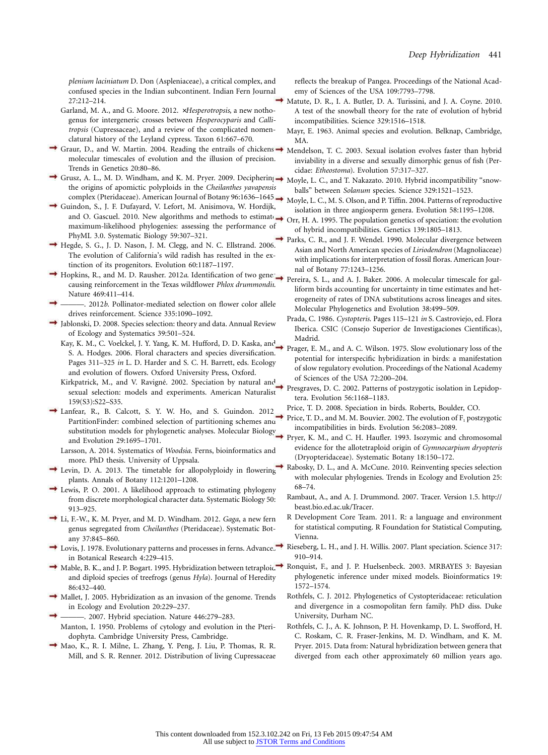*plenium laciniatum* D. Don (Aspleniaceae), a critical complex, and confused species in the Indian subcontinent. Indian Fern Journal 27:212–214.

Garland, M. A., and G. Moore. 2012. #*Hesperotropsis*, a new nothogenus for intergeneric crosses between *Hesperocyparis* and *Callitropsis* (Cupressaceae), and a review of the complicated nomenclatural history of the Leyland cypress. Taxon 61:667–670.

- Graur, D., and W. Martin. 2004. Reading the entrails of chickens  $\rightarrow$ molecular timescales of evolution and the illusion of precision. Trends in Genetics 20:80–86.
- Grusz, A. L., M. D. Windham, and K. M. Pryer. 2009. Deciphering  $\rightarrow$ the origins of apomictic polyploids in the *Cheilanthes yavapensis* complex (Pteridaceae). American Journal of Botany 96:1636–1645.
- Guindon, S., J. F. Dufayard, V. Lefort, M. Anisimova, W. Hordijk, and O. Gascuel. 2010. New algorithms and methods to estimate maximum-likelihood phylogenies: assessing the performance of PhyML 3.0. Systematic Biology 59:307–321.
- Hegde, S. G., J. D. Nason, J. M. Clegg, and N. C. Ellstrand. 2006. The evolution of California's wild radish has resulted in the extinction of its progenitors. Evolution 60:1187–1197.
- Hopkins, R., and M. D. Rausher. 2012*a*. Identification of two gene causing reinforcement in the Texas wildflower *Phlox drummondii*. Nature 469:411–414.
- ———. 2012*b*. Pollinator-mediated selection on flower color allele drives reinforcement. Science 335:1090–1092.
- Jablonski, D. 2008. Species selection: theory and data. Annual Review of Ecology and Systematics 39:501–524.
	- Kay, K. M., C. Voelckel, J. Y. Yang, K. M. Hufford, D. D. Kaska, and S. A. Hodges. 2006. Floral characters and species diversification. Pages 311–325 *in* L. D. Harder and S. C. H. Barrett, eds. Ecology and evolution of flowers. Oxford University Press, Oxford.
	- Kirkpatrick, M., and V. Ravigné. 2002. Speciation by natural and sexual selection: models and experiments. American Naturalist 159(S3):S22–S35.
- Lanfear, R., B. Calcott, S. Y. W. Ho, and S. Guindon. 2012. PartitionFinder: combined selection of partitioning schemes and substitution models for phylogenetic analyses. Molecular Biology and Evolution 29:1695–1701.
	- Larsson, A. 2014. Systematics of *Woodsia*. Ferns, bioinformatics and more. PhD thesis. University of Uppsala.
- Levin, D. A. 2013. The timetable for allopolyploidy in flowering plants. Annals of Botany 112:1201–1208.
- Lewis, P. O. 2001. A likelihood approach to estimating phylogeny from discrete morphological character data. Systematic Biology 50: 913–925.
- Li, F.-W., K. M. Pryer, and M. D. Windham. 2012. *Gaga*, a new fern genus segregated from *Cheilanthes* (Pteridaceae). Systematic Botany 37:845–860.
- Lovis, J. 1978. Evolutionary patterns and processes in ferns. Advances in Botanical Research 4:229–415.
- and diploid species of treefrogs (genus *Hyla*). Journal of Heredity 86:432–440.
- Mallet, J. 2005. Hybridization as an invasion of the genome. Trends in Ecology and Evolution 20:229–237.
- ———. 2007. Hybrid speciation. Nature 446:279–283. Manton, I. 1950. Problems of cytology and evolution in the Pteridophyta. Cambridge University Press, Cambridge.
- Mao, K., R. I. Milne, L. Zhang, Y. Peng, J. Liu, P. Thomas, R. R. Mill, and S. R. Renner. 2012. Distribution of living Cupressaceae

reflects the breakup of Pangea. Proceedings of the National Academy of Sciences of the USA 109:7793–7798.

- Matute, D. R., I. A. Butler, D. A. Turissini, and J. A. Coyne. 2010. A test of the snowball theory for the rate of evolution of hybrid incompatibilities. Science 329:1516–1518.
- Mayr, E. 1963. Animal species and evolution. Belknap, Cambridge, MA.
- Mendelson, T. C. 2003. Sexual isolation evolves faster than hybrid inviability in a diverse and sexually dimorphic genus of fish (Percidae: *Etheostoma*). Evolution 57:317–327.
- Moyle, L. C., and T. Nakazato. 2010. Hybrid incompatibility "snowballs" between *Solanum* species. Science 329:1521–1523.
- Moyle, L. C., M. S. Olson, and P. Tiffin. 2004. Patterns of reproductive isolation in three angiosperm genera. Evolution 58:1195–1208.
- Orr, H. A. 1995. The population genetics of speciation: the evolution of hybrid incompatibilities. Genetics 139:1805–1813.
- Parks, C. R., and J. F. Wendel. 1990. Molecular divergence between Asian and North American species of *Liriodendron* (Magnoliaceae) with implications for interpretation of fossil floras. American Journal of Botany 77:1243–1256.
- Pereira, S. L., and A. J. Baker. 2006. A molecular timescale for galliform birds accounting for uncertainty in time estimates and heterogeneity of rates of DNA substitutions across lineages and sites. Molecular Phylogenetics and Evolution 38:499–509.
- Prada, C. 1986. *Cystopteris*. Pages 115–121 *in* S. Castroviejo, ed. Flora Iberica. CSIC (Consejo Superior de Investigaciones Científicas), Madrid.
- Prager, E. M., and A. C. Wilson. 1975. Slow evolutionary loss of the potential for interspecific hybridization in birds: a manifestation of slow regulatory evolution. Proceedings of the National Academy of Sciences of the USA 72:200–204.
- Presgraves, D. C. 2002. Patterns of postzygotic isolation in Lepidoptera. Evolution 56:1168–1183.
	- Price, T. D. 2008. Speciation in birds. Roberts, Boulder, CO.
- Price, T. D., and M. M. Bouvier. 2002. The evolution of  $F<sub>1</sub>$  postzygotic incompatibilities in birds. Evolution 56:2083–2089.
- Pryer, K. M., and C. H. Haufler. 1993. Isozymic and chromosomal evidence for the allotetraploid origin of *Gymnocarpium dryopteris* (Dryopteridaceae). Systematic Botany 18:150–172.
- Rabosky, D. L., and A. McCune. 2010. Reinventing species selection with molecular phylogenies. Trends in Ecology and Evolution 25: 68–74.
- Ra[mbaut, A., and A. J. Drummond. 2007. Tracer. Version 1.5. http://](http://beast.bio.ed.ac.uk/Tracer) [beast.bio.ed.ac.uk/Tracer.](http://beast.bio.ed.ac.uk/Tracer)
- R Development Core Team. 2011. R: a language and environment for statistical computing. R Foundation for Statistical Computing, Vienna.
- Rieseberg, L. H., and J. H. Willis. 2007. Plant speciation. Science 317: 910–914.
- Mable, B. K., and J. P. Bogart. 1995. Hybridization between tetraploid  $\rightarrow$  Ronquist, F., and J. P. Huelsenbeck. 2003. MRBAYES 3: Bayesian phylogenetic inference under mixed models. Bioinformatics 19: 1572–1574.
	- Rothfels, C. J. 2012. Phylogenetics of Cystopteridaceae: reticulation and divergence in a cosmopolitan fern family. PhD diss. Duke University, Durham NC.
	- Rothfels, C. J., A. K. Johnson, P. H. Hovenkamp, D. L. Swofford, H. C. Roskam, C. R. Fraser-Jenkins, M. D. Windham, and K. M. Pryer. 2015. Data from: Natural hybridization between genera that diverged from each other approximately 60 million years ago.